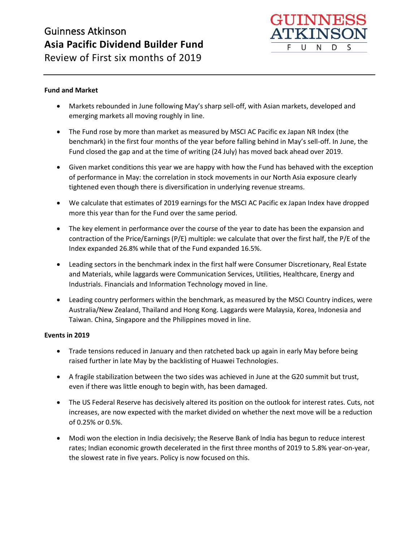

Review of First six months of 2019

### **Fund and Market**

- Markets rebounded in June following May's sharp sell-off, with Asian markets, developed and emerging markets all moving roughly in line.
- The Fund rose by more than market as measured by MSCI AC Pacific ex Japan NR Index (the benchmark) in the first four months of the year before falling behind in May's sell-off. In June, the Fund closed the gap and at the time of writing (24 July) has moved back ahead over 2019.
- Given market conditions this year we are happy with how the Fund has behaved with the exception of performance in May: the correlation in stock movements in our North Asia exposure clearly tightened even though there is diversification in underlying revenue streams.
- We calculate that estimates of 2019 earnings for the MSCI AC Pacific ex Japan Index have dropped more this year than for the Fund over the same period.
- The key element in performance over the course of the year to date has been the expansion and contraction of the Price/Earnings (P/E) multiple: we calculate that over the first half, the P/E of the Index expanded 26.8% while that of the Fund expanded 16.5%.
- Leading sectors in the benchmark index in the first half were Consumer Discretionary, Real Estate and Materials, while laggards were Communication Services, Utilities, Healthcare, Energy and Industrials. Financials and Information Technology moved in line.
- Leading country performers within the benchmark, as measured by the MSCI Country indices, were Australia/New Zealand, Thailand and Hong Kong. Laggards were Malaysia, Korea, Indonesia and Taiwan. China, Singapore and the Philippines moved in line.

#### **Events in 2019**

- Trade tensions reduced in January and then ratcheted back up again in early May before being raised further in late May by the backlisting of Huawei Technologies.
- A fragile stabilization between the two sides was achieved in June at the G20 summit but trust, even if there was little enough to begin with, has been damaged.
- The US Federal Reserve has decisively altered its position on the outlook for interest rates. Cuts, not increases, are now expected with the market divided on whether the next move will be a reduction of 0.25% or 0.5%.
- Modi won the election in India decisively; the Reserve Bank of India has begun to reduce interest rates; Indian economic growth decelerated in the first three months of 2019 to 5.8% year-on-year, the slowest rate in five years. Policy is now focused on this.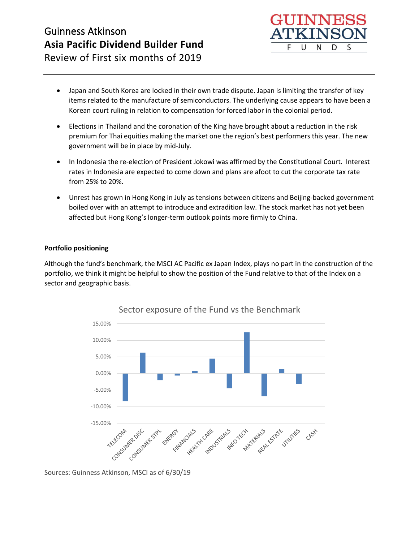

Review of First six months of 2019

- Japan and South Korea are locked in their own trade dispute. Japan is limiting the transfer of key items related to the manufacture of semiconductors. The underlying cause appears to have been a Korean court ruling in relation to compensation for forced labor in the colonial period.
- Elections in Thailand and the coronation of the King have brought about a reduction in the risk premium for Thai equities making the market one the region's best performers this year. The new government will be in place by mid-July.
- In Indonesia the re-election of President Jokowi was affirmed by the Constitutional Court. Interest rates in Indonesia are expected to come down and plans are afoot to cut the corporate tax rate from 25% to 20%.
- Unrest has grown in Hong Kong in July as tensions between citizens and Beijing-backed government boiled over with an attempt to introduce and extradition law. The stock market has not yet been affected but Hong Kong's longer-term outlook points more firmly to China.

#### **Portfolio positioning**

Although the fund's benchmark, the MSCI AC Pacific ex Japan Index, plays no part in the construction of the portfolio, we think it might be helpful to show the position of the Fund relative to that of the Index on a sector and geographic basis.



Sector exposure of the Fund vs the Benchmark

Sources: Guinness Atkinson, MSCI as of 6/30/19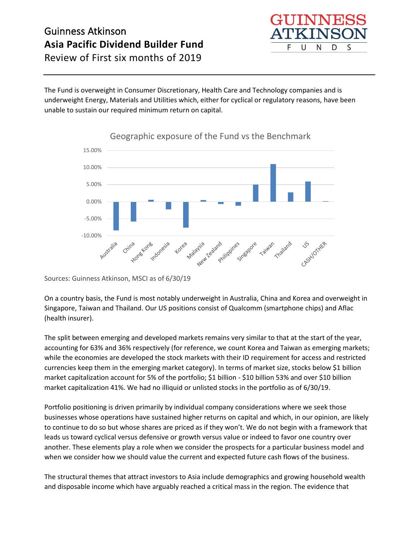F U S N D

Review of First six months of 2019

The Fund is overweight in Consumer Discretionary, Health Care and Technology companies and is underweight Energy, Materials and Utilities which, either for cyclical or regulatory reasons, have been unable to sustain our required minimum return on capital.



Geographic exposure of the Fund vs the Benchmark

Sources: Guinness Atkinson, MSCI as of 6/30/19

On a country basis, the Fund is most notably underweight in Australia, China and Korea and overweight in Singapore, Taiwan and Thailand. Our US positions consist of Qualcomm (smartphone chips) and Aflac (health insurer).

The split between emerging and developed markets remains very similar to that at the start of the year, accounting for 63% and 36% respectively (for reference, we count Korea and Taiwan as emerging markets; while the economies are developed the stock markets with their ID requirement for access and restricted currencies keep them in the emerging market category). In terms of market size, stocks below \$1 billion market capitalization account for 5% of the portfolio; \$1 billion - \$10 billion 53% and over \$10 billion market capitalization 41%. We had no illiquid or unlisted stocks in the portfolio as of 6/30/19.

Portfolio positioning is driven primarily by individual company considerations where we seek those businesses whose operations have sustained higher returns on capital and which, in our opinion, are likely to continue to do so but whose shares are priced as if they won't. We do not begin with a framework that leads us toward cyclical versus defensive or growth versus value or indeed to favor one country over another. These elements play a role when we consider the prospects for a particular business model and when we consider how we should value the current and expected future cash flows of the business.

The structural themes that attract investors to Asia include demographics and growing household wealth and disposable income which have arguably reached a critical mass in the region. The evidence that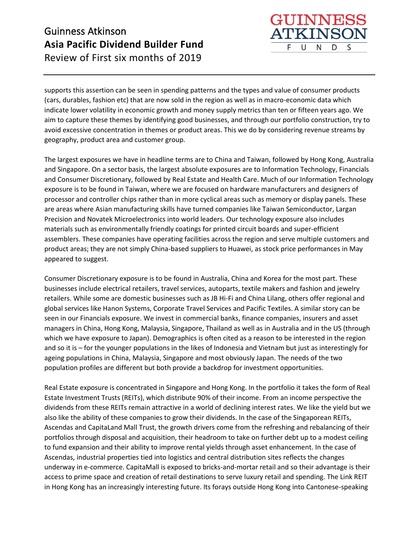supports this assertion can be seen in spending patterns and the types and value of consumer products (cars, durables, fashion etc) that are now sold in the region as well as in macro-economic data which indicate lower volatility in economic growth and money supply metrics than ten or fifteen years ago. We aim to capture these themes by identifying good businesses, and through our portfolio construction, try to avoid excessive concentration in themes or product areas. This we do by considering revenue streams by geography, product area and customer group.

GUINNES **TKINS** 

N

D

S

U

F

The largest exposures we have in headline terms are to China and Taiwan, followed by Hong Kong, Australia and Singapore. On a sector basis, the largest absolute exposures are to Information Technology, Financials and Consumer Discretionary, followed by Real Estate and Health Care. Much of our Information Technology exposure is to be found in Taiwan, where we are focused on hardware manufacturers and designers of processor and controller chips rather than in more cyclical areas such as memory or display panels. These are areas where Asian manufacturing skills have turned companies like Taiwan Semiconductor, Largan Precision and Novatek Microelectronics into world leaders. Our technology exposure also includes materials such as environmentally friendly coatings for printed circuit boards and super-efficient assemblers. These companies have operating facilities across the region and serve multiple customers and product areas; they are not simply China-based suppliers to Huawei, as stock price performances in May appeared to suggest.

Consumer Discretionary exposure is to be found in Australia, China and Korea for the most part. These businesses include electrical retailers, travel services, autoparts, textile makers and fashion and jewelry retailers. While some are domestic businesses such as JB Hi-Fi and China Lilang, others offer regional and global services like Hanon Systems, Corporate Travel Services and Pacific Textiles. A similar story can be seen in our Financials exposure. We invest in commercial banks, finance companies, insurers and asset managers in China, Hong Kong, Malaysia, Singapore, Thailand as well as in Australia and in the US (through which we have exposure to Japan). Demographics is often cited as a reason to be interested in the region and so it is – for the younger populations in the likes of Indonesia and Vietnam but just as interestingly for ageing populations in China, Malaysia, Singapore and most obviously Japan. The needs of the two population profiles are different but both provide a backdrop for investment opportunities.

Real Estate exposure is concentrated in Singapore and Hong Kong. In the portfolio it takes the form of Real Estate Investment Trusts (REITs), which distribute 90% of their income. From an income perspective the dividends from these REITs remain attractive in a world of declining interest rates. We like the yield but we also like the ability of these companies to grow their dividends. In the case of the Singaporean REITs, Ascendas and CapitaLand Mall Trust, the growth drivers come from the refreshing and rebalancing of their portfolios through disposal and acquisition, their headroom to take on further debt up to a modest ceiling to fund expansion and their ability to improve rental yields through asset enhancement. In the case of Ascendas, industrial properties tied into logistics and central distribution sites reflects the changes underway in e-commerce. CapitaMall is exposed to bricks-and-mortar retail and so their advantage is their access to prime space and creation of retail destinations to serve luxury retail and spending. The Link REIT in Hong Kong has an increasingly interesting future. Its forays outside Hong Kong into Cantonese-speaking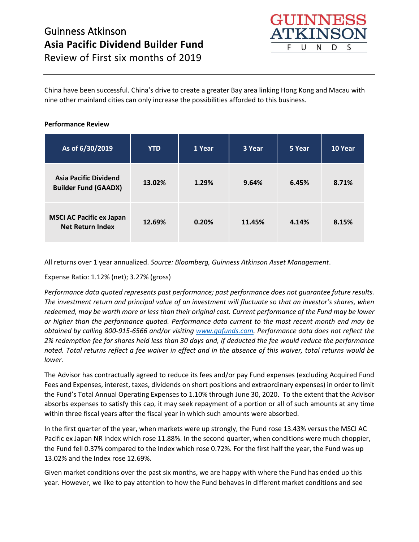

Review of First six months of 2019

China have been successful. China's drive to create a greater Bay area linking Hong Kong and Macau with nine other mainland cities can only increase the possibilities afforded to this business.

### **Performance Review**

| As of 6/30/2019                                             | <b>YTD</b> | 1 Year | 3 Year | 5 Year | 10 Year |
|-------------------------------------------------------------|------------|--------|--------|--------|---------|
| <b>Asia Pacific Dividend</b><br><b>Builder Fund (GAADX)</b> | 13.02%     | 1.29%  | 9.64%  | 6.45%  | 8.71%   |
| <b>MSCI AC Pacific ex Japan</b><br><b>Net Return Index</b>  | 12.69%     | 0.20%  | 11.45% | 4.14%  | 8.15%   |

All returns over 1 year annualized. *Source: Bloomberg, Guinness Atkinson Asset Management*.

Expense Ratio: 1.12% (net); 3.27% (gross)

*Performance data quoted represents past performance; past performance does not guarantee future results. The investment return and principal value of an investment will fluctuate so that an investor's shares, when redeemed, may be worth more or less than their original cost. Current performance of the Fund may be lower or higher than the performance quoted. Performance data current to the most recent month end may be obtained by calling 800-915-6566 and/or visiting [www.gafunds.com.](http://www.gafunds.com/) Performance data does not reflect the 2% redemption fee for shares held less than 30 days and, if deducted the fee would reduce the performance noted. Total returns reflect a fee waiver in effect and in the absence of this waiver, total returns would be lower.* 

The Advisor has contractually agreed to reduce its fees and/or pay Fund expenses (excluding Acquired Fund Fees and Expenses, interest, taxes, dividends on short positions and extraordinary expenses) in order to limit the Fund's Total Annual Operating Expenses to 1.10% through June 30, 2020. To the extent that the Advisor absorbs expenses to satisfy this cap, it may seek repayment of a portion or all of such amounts at any time within three fiscal years after the fiscal year in which such amounts were absorbed.

In the first quarter of the year, when markets were up strongly, the Fund rose 13.43% versus the MSCI AC Pacific ex Japan NR Index which rose 11.88%. In the second quarter, when conditions were much choppier, the Fund fell 0.37% compared to the Index which rose 0.72%. For the first half the year, the Fund was up 13.02% and the Index rose 12.69%.

Given market conditions over the past six months, we are happy with where the Fund has ended up this year. However, we like to pay attention to how the Fund behaves in different market conditions and see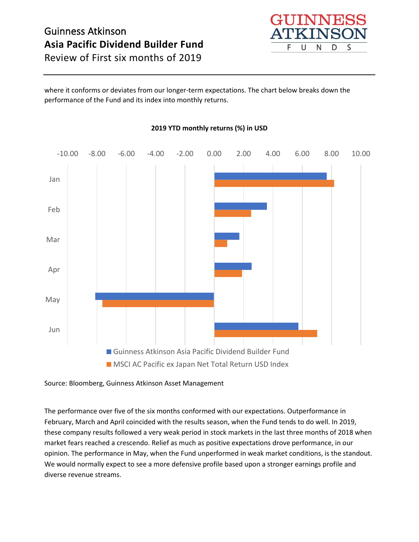

Review of First six months of 2019

where it conforms or deviates from our longer-term expectations. The chart below breaks down the performance of the Fund and its index into monthly returns.



### **2019 YTD monthly returns (%) in USD**

Source: Bloomberg, Guinness Atkinson Asset Management

The performance over five of the six months conformed with our expectations. Outperformance in February, March and April coincided with the results season, when the Fund tends to do well. In 2019, these company results followed a very weak period in stock markets in the last three months of 2018 when market fears reached a crescendo. Relief as much as positive expectations drove performance, in our opinion. The performance in May, when the Fund unperformed in weak market conditions, is the standout. We would normally expect to see a more defensive profile based upon a stronger earnings profile and diverse revenue streams.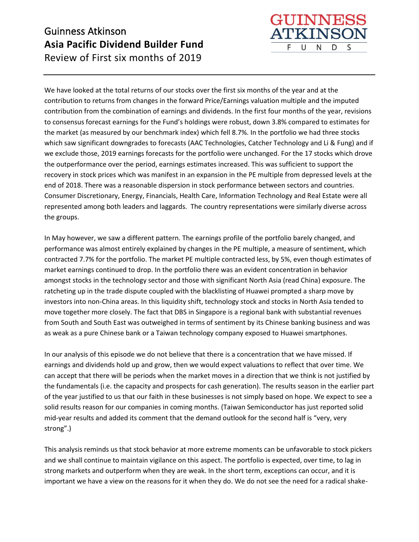

GUINNE

U

F

**TKINS** 

N

D

S

In May however, we saw a different pattern. The earnings profile of the portfolio barely changed, and performance was almost entirely explained by changes in the PE multiple, a measure of sentiment, which contracted 7.7% for the portfolio. The market PE multiple contracted less, by 5%, even though estimates of market earnings continued to drop. In the portfolio there was an evident concentration in behavior amongst stocks in the technology sector and those with significant North Asia (read China) exposure. The ratcheting up in the trade dispute coupled with the blacklisting of Huawei prompted a sharp move by investors into non-China areas. In this liquidity shift, technology stock and stocks in North Asia tended to move together more closely. The fact that DBS in Singapore is a regional bank with substantial revenues from South and South East was outweighed in terms of sentiment by its Chinese banking business and was as weak as a pure Chinese bank or a Taiwan technology company exposed to Huawei smartphones.

In our analysis of this episode we do not believe that there is a concentration that we have missed. If earnings and dividends hold up and grow, then we would expect valuations to reflect that over time. We can accept that there will be periods when the market moves in a direction that we think is not justified by the fundamentals (i.e. the capacity and prospects for cash generation). The results season in the earlier part of the year justified to us that our faith in these businesses is not simply based on hope. We expect to see a solid results reason for our companies in coming months. (Taiwan Semiconductor has just reported solid mid-year results and added its comment that the demand outlook for the second half is "very, very strong".)

This analysis reminds us that stock behavior at more extreme moments can be unfavorable to stock pickers and we shall continue to maintain vigilance on this aspect. The portfolio is expected, over time, to lag in strong markets and outperform when they are weak. In the short term, exceptions can occur, and it is important we have a view on the reasons for it when they do. We do not see the need for a radical shake-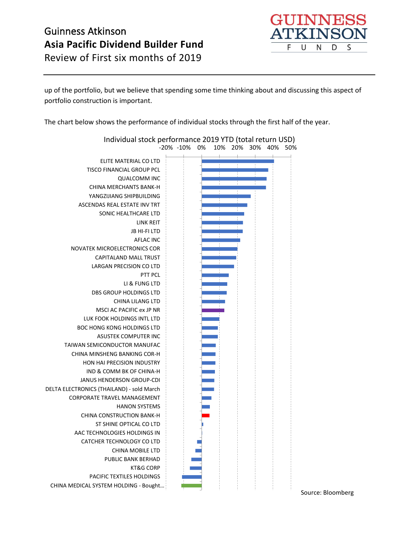

Review of First six months of 2019

up of the portfolio, but we believe that spending some time thinking about and discussing this aspect of portfolio construction is important.

The chart below shows the performance of individual stocks through the first half of the year.

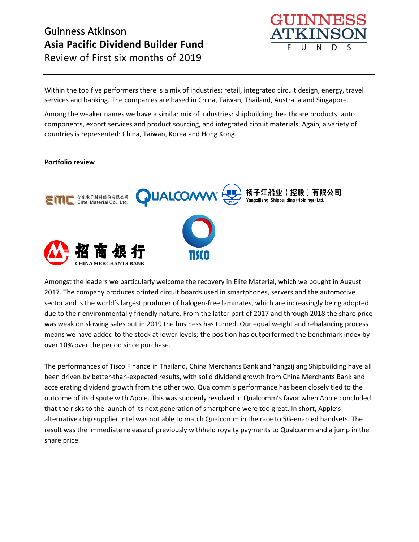

Within the top five performers there is a mix of industries: retail, integrated circuit design, energy, travel services and banking. The companies are based in China, Taiwan, Thailand, Australia and Singapore.

Among the weaker names we have a similar mix of industries: shipbuilding, healthcare products, auto components, export services and product sourcing, and integrated circuit materials. Again, a variety of countries is represented: China, Taiwan, Korea and Hong Kong.

#### **Portfolio review**



Amongst the leaders we particularly welcome the recovery in Elite Material, which we bought in August 2017. The company produces printed circuit boards used in smartphones, servers and the automotive sector and is the world's largest producer of halogen-free laminates, which are increasingly being adopted due to their environmentally friendly nature. From the latter part of 2017 and through 2018 the share price was weak on slowing sales but in 2019 the business has turned. Our equal weight and rebalancing process means we have added to the stock at lower levels; the position has outperformed the benchmark index by over 10% over the period since purchase.

The performances of Tisco Finance in Thailand, China Merchants Bank and Yangzijiang Shipbuilding have all been driven by better-than-expected results, with solid dividend growth from China Merchants Bank and accelerating dividend growth from the other two. Qualcomm's performance has been closely tied to the outcome of its dispute with Apple. This was suddenly resolved in Qualcomm's favor when Apple concluded that the risks to the launch of its next generation of smartphone were too great. In short, Apple's alternative chip supplier Intel was not able to match Qualcomm in the race to 5G-enabled handsets. The result was the immediate release of previously withheld royalty payments to Qualcomm and a jump in the share price.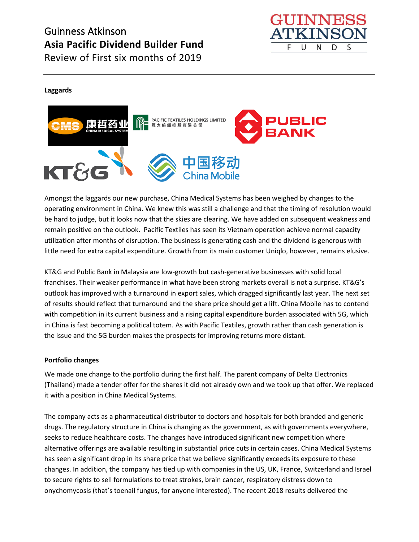

Review of First six months of 2019

#### **Laggards**



Amongst the laggards our new purchase, China Medical Systems has been weighed by changes to the operating environment in China. We knew this was still a challenge and that the timing of resolution would be hard to judge, but it looks now that the skies are clearing. We have added on subsequent weakness and remain positive on the outlook. Pacific Textiles has seen its Vietnam operation achieve normal capacity utilization after months of disruption. The business is generating cash and the dividend is generous with little need for extra capital expenditure. Growth from its main customer Uniqlo, however, remains elusive.

KT&G and Public Bank in Malaysia are low-growth but cash-generative businesses with solid local franchises. Their weaker performance in what have been strong markets overall is not a surprise. KT&G's outlook has improved with a turnaround in export sales, which dragged significantly last year. The next set of results should reflect that turnaround and the share price should get a lift. China Mobile has to contend with competition in its current business and a rising capital expenditure burden associated with 5G, which in China is fast becoming a political totem. As with Pacific Textiles, growth rather than cash generation is the issue and the 5G burden makes the prospects for improving returns more distant.

#### **Portfolio changes**

We made one change to the portfolio during the first half. The parent company of Delta Electronics (Thailand) made a tender offer for the shares it did not already own and we took up that offer. We replaced it with a position in China Medical Systems.

The company acts as a pharmaceutical distributor to doctors and hospitals for both branded and generic drugs. The regulatory structure in China is changing as the government, as with governments everywhere, seeks to reduce healthcare costs. The changes have introduced significant new competition where alternative offerings are available resulting in substantial price cuts in certain cases. China Medical Systems has seen a significant drop in its share price that we believe significantly exceeds its exposure to these changes. In addition, the company has tied up with companies in the US, UK, France, Switzerland and Israel to secure rights to sell formulations to treat strokes, brain cancer, respiratory distress down to onychomycosis (that's toenail fungus, for anyone interested). The recent 2018 results delivered the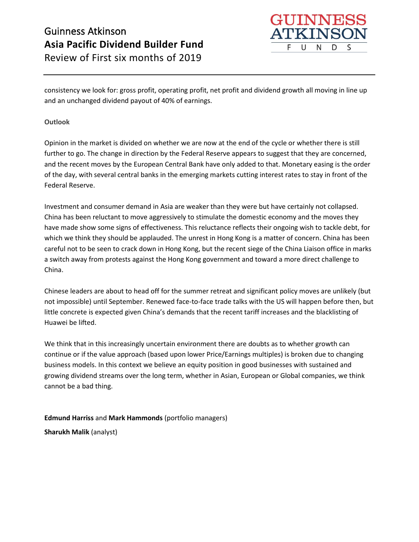

consistency we look for: gross profit, operating profit, net profit and dividend growth all moving in line up and an unchanged dividend payout of 40% of earnings.

### **Outlook**

Opinion in the market is divided on whether we are now at the end of the cycle or whether there is still further to go. The change in direction by the Federal Reserve appears to suggest that they are concerned, and the recent moves by the European Central Bank have only added to that. Monetary easing is the order of the day, with several central banks in the emerging markets cutting interest rates to stay in front of the Federal Reserve.

Investment and consumer demand in Asia are weaker than they were but have certainly not collapsed. China has been reluctant to move aggressively to stimulate the domestic economy and the moves they have made show some signs of effectiveness. This reluctance reflects their ongoing wish to tackle debt, for which we think they should be applauded. The unrest in Hong Kong is a matter of concern. China has been careful not to be seen to crack down in Hong Kong, but the recent siege of the China Liaison office in marks a switch away from protests against the Hong Kong government and toward a more direct challenge to China.

Chinese leaders are about to head off for the summer retreat and significant policy moves are unlikely (but not impossible) until September. Renewed face-to-face trade talks with the US will happen before then, but little concrete is expected given China's demands that the recent tariff increases and the blacklisting of Huawei be lifted.

We think that in this increasingly uncertain environment there are doubts as to whether growth can continue or if the value approach (based upon lower Price/Earnings multiples) is broken due to changing business models. In this context we believe an equity position in good businesses with sustained and growing dividend streams over the long term, whether in Asian, European or Global companies, we think cannot be a bad thing.

**Edmund Harriss** and **Mark Hammonds** (portfolio managers)

**Sharukh Malik** (analyst)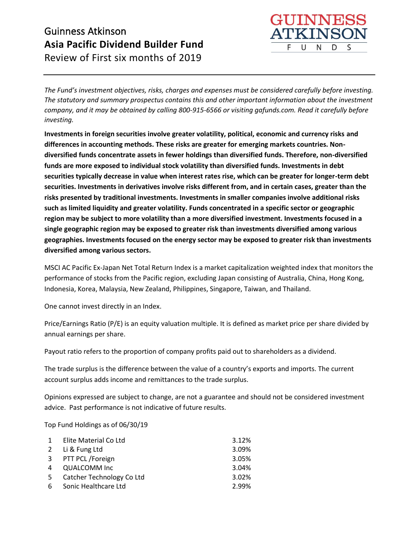

*The Fund's investment objectives, risks, charges and expenses must be considered carefully before investing. The statutory and summary prospectus contains this and other important information about the investment company, and it may be obtained by calling 800-915-6566 or visiting gafunds.com. Read it carefully before investing.*

**Investments in foreign securities involve greater volatility, political, economic and currency risks and differences in accounting methods. These risks are greater for emerging markets countries. Nondiversified funds concentrate assets in fewer holdings than diversified funds. Therefore, non-diversified funds are more exposed to individual stock volatility than diversified funds. Investments in debt securities typically decrease in value when interest rates rise, which can be greater for longer-term debt securities. Investments in derivatives involve risks different from, and in certain cases, greater than the risks presented by traditional investments. Investments in smaller companies involve additional risks such as limited liquidity and greater volatility. Funds concentrated in a specific sector or geographic region may be subject to more volatility than a more diversified investment. Investments focused in a single geographic region may be exposed to greater risk than investments diversified among various geographies. Investments focused on the energy sector may be exposed to greater risk than investments diversified among various sectors.**

MSCI AC Pacific Ex-Japan Net Total Return Index is a market capitalization weighted index that monitors the performance of stocks from the Pacific region, excluding Japan consisting of Australia, China, Hong Kong, Indonesia, Korea, Malaysia, New Zealand, Philippines, Singapore, Taiwan, and Thailand.

One cannot invest directly in an Index.

Price/Earnings Ratio (P/E) is an equity valuation multiple. It is defined as market price per share divided by annual earnings per share.

Payout ratio refers to the proportion of company profits paid out to shareholders as a dividend.

The trade surplus is the difference between the value of a country's exports and imports. The current account surplus adds income and remittances to the trade surplus.

Opinions expressed are subject to change, are not a guarantee and should not be considered investment advice. Past performance is not indicative of future results.

Top Fund Holdings as of 06/30/19

| $\mathbf{1}$ | Elite Material Co Ltd     | 3.12% |
|--------------|---------------------------|-------|
| 2            | Li & Fung Ltd             | 3.09% |
|              | 3 PTT PCL /Foreign        | 3.05% |
| 4            | QUALCOMM Inc              | 3.04% |
| 5            | Catcher Technology Co Ltd | 3.02% |
| 6            | Sonic Healthcare Ltd      | 2.99% |